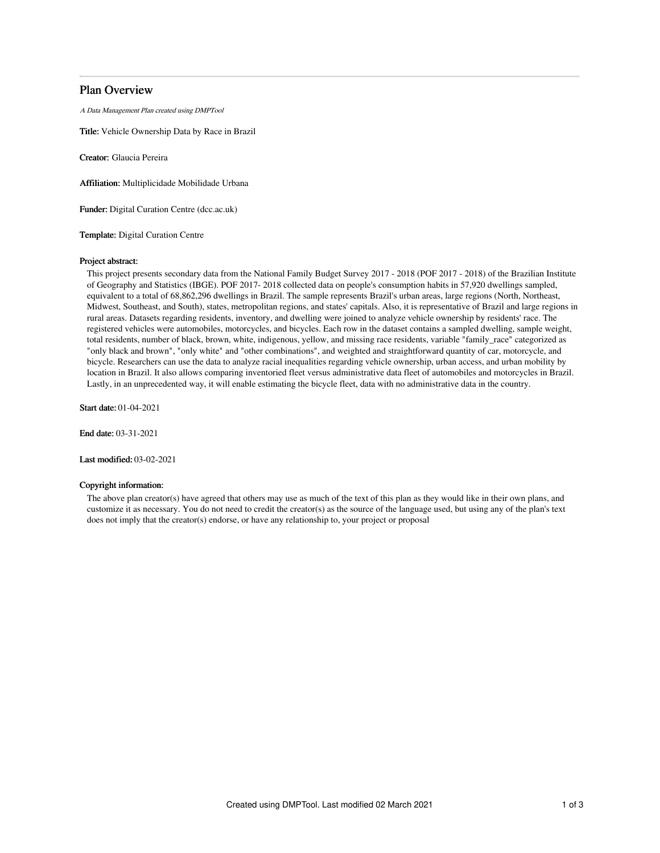# Plan Overview

A Data Management Plan created using DMPTool

Title: Vehicle Ownership Data by Race in Brazil

Creator: Glaucia Pereira

Affiliation: Multiplicidade Mobilidade Urbana

Funder: Digital Curation Centre (dcc.ac.uk)

Template: Digital Curation Centre

### Project abstract:

This project presents secondary data from the National Family Budget Survey 2017 - 2018 (POF 2017 - 2018) of the Brazilian Institute of Geography and Statistics (IBGE). POF 2017- 2018 collected data on people's consumption habits in 57,920 dwellings sampled, equivalent to a total of 68,862,296 dwellings in Brazil. The sample represents Brazil's urban areas, large regions (North, Northeast, Midwest, Southeast, and South), states, metropolitan regions, and states' capitals. Also, it is representative of Brazil and large regions in rural areas. Datasets regarding residents, inventory, and dwelling were joined to analyze vehicle ownership by residents' race. The registered vehicles were automobiles, motorcycles, and bicycles. Each row in the dataset contains a sampled dwelling, sample weight, total residents, number of black, brown, white, indigenous, yellow, and missing race residents, variable "family\_race" categorized as "only black and brown", "only white" and "other combinations", and weighted and straightforward quantity of car, motorcycle, and bicycle. Researchers can use the data to analyze racial inequalities regarding vehicle ownership, urban access, and urban mobility by location in Brazil. It also allows comparing inventoried fleet versus administrative data fleet of automobiles and motorcycles in Brazil. Lastly, in an unprecedented way, it will enable estimating the bicycle fleet, data with no administrative data in the country.

Start date: 01-04-2021

End date: 03-31-2021

Last modified: 03-02-2021

### Copyright information:

The above plan creator(s) have agreed that others may use as much of the text of this plan as they would like in their own plans, and customize it as necessary. You do not need to credit the creator(s) as the source of the language used, but using any of the plan's text does not imply that the creator(s) endorse, or have any relationship to, your project or proposal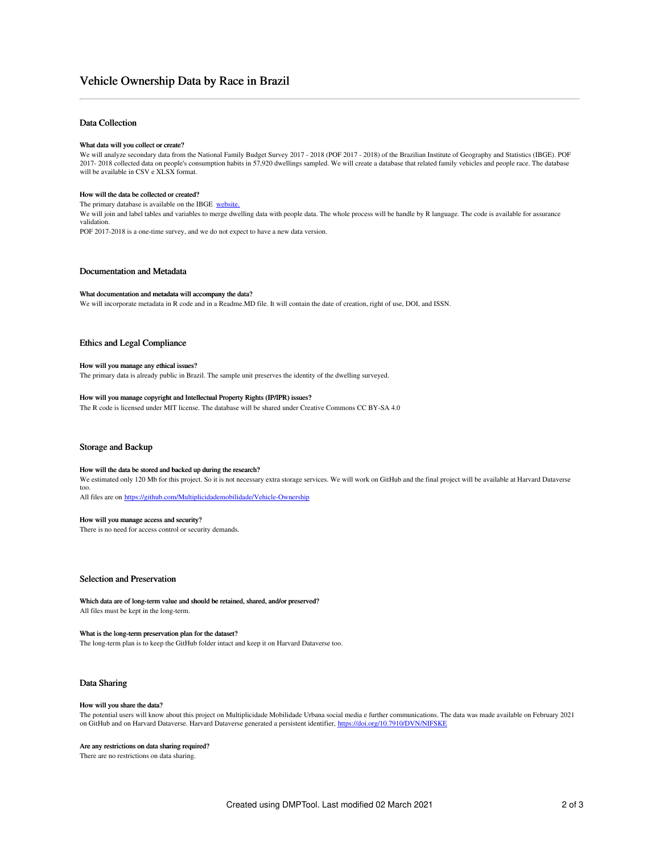# Data Collection

#### What data will you collect or create?

We will analyze secondary data from the National Family Budget Survey 2017 - 2018 (POF 2017 - 2018) of the Brazilian Institute of Geography and Statistics (IBGE). POF<br>2017- 2018 collected data on people's consumption habit will be available in CSV e XLSX format.

### How will the data be collected or created?

The primary database is available on the IBGE [website.](https://www.ibge.gov.br/estatisticas/sociais/educacao/9050-pesquisa-de-orcamentos-familiares.html)

We will join and label tables and variables to merge dwelling data with people data. The whole process will be handle by R language. The code is available for assurance validation.

POF 2017-2018 is a one-time survey, and we do not expect to have a new data version.

# Documentation and Metadata

### What documentation and metadata will accompany the data?

We will incorporate metadata in R code and in a Readme.MD file. It will contain the date of creation, right of use, DOI, and ISSN.

### Ethics and Legal Compliance

#### How will you manage any ethical issues?

The primary data is already public in Brazil. The sample unit preserves the identity of the dwelling surveyed.

#### How will you manage copyright and Intellectual Property Rights (IP/IPR) issues?

The R code is licensed under MIT license. The database will be shared under Creative Commons CC BY-SA 4.0

#### Storage and Backup

#### How will the data be stored and backed up during the research?

We estimated only 120 Mb for this project. So it is not necessary extra storage services. We will work on GitHub and the final project will be available at Harvard Dataverse too.

All files are on <https://github.com/Multiplicidademobilidade/Vehicle-Ownership>

#### How will you manage access and security?

There is no need for access control or security demands.

# Selection and Preservation

Which data are of long-term value and should be retained, shared, and/or preserved? All files must be kept in the long-term.

#### What is the long-term preservation plan for the dataset?

The long-term plan is to keep the GitHub folder intact and keep it on Harvard Dataverse too.

## Data Sharing

#### How will you share the data?

The potential users will know about this project on Multiplicidade Mobilidade Urbana social media e further communications. The data was made available on February 2021 on GitHub and on Harvard Dataverse. Harvard Dataverse generated a persistent identifier, <https://doi.org/10.7910/DVN/NIFSKE>

#### Are any restrictions on data sharing required?

There are no restrictions on data sharing.